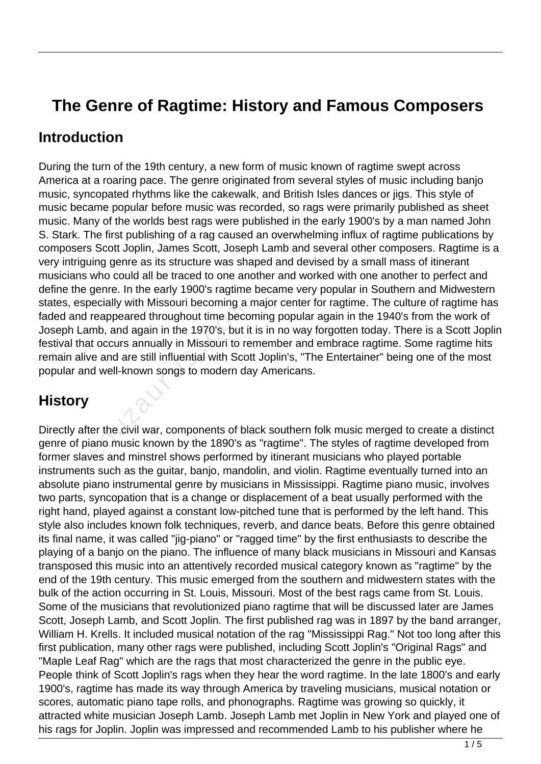# **The Genre of Ragtime: History and Famous Composers**

#### **Introduction**

During the turn of the 19th century, a new form of music known of ragtime swept across America at a roaring pace. The genre originated from several styles of music including banjo music, syncopated rhythms like the cakewalk, and British Isles dances or jigs. This style of music became popular before music was recorded, so rags were primarily published as sheet music. Many of the worlds best rags were published in the early 1900's by a man named John S. Stark. The first publishing of a rag caused an overwhelming influx of ragtime publications by composers Scott Joplin, James Scott, Joseph Lamb and several other composers. Ragtime is a very intriguing genre as its structure was shaped and devised by a small mass of itinerant musicians who could all be traced to one another and worked with one another to perfect and define the genre. In the early 1900's ragtime became very popular in Southern and Midwestern states, especially with Missouri becoming a major center for ragtime. The culture of ragtime has faded and reappeared throughout time becoming popular again in the 1940's from the work of Joseph Lamb, and again in the 1970's, but it is in no way forgotten today. There is a Scott Joplin festival that occurs annually in Missouri to remember and embrace ragtime. Some ragtime hits remain alive and are still influential with Scott Joplin's, "The Entertainer" being one of the most popular and well-known songs to modern day Americans. reappeared throughout time becoming<br>meappeared throughout time becomb, and again in the 1970's, but it<br>it occurs annually in Missouri to re<br>we and are still influential with Scot<br>d well-known songs to modern data<br>for the c

### **History**

Directly after the civil war, components of black southern folk music merged to create a distinct genre of piano music known by the 1890's as "ragtime". The styles of ragtime developed from former slaves and minstrel shows performed by itinerant musicians who played portable instruments such as the guitar, banjo, mandolin, and violin. Ragtime eventually turned into an absolute piano instrumental genre by musicians in Mississippi. Ragtime piano music, involves two parts, syncopation that is a change or displacement of a beat usually performed with the right hand, played against a constant low-pitched tune that is performed by the left hand. This style also includes known folk techniques, reverb, and dance beats. Before this genre obtained its final name, it was called "jig-piano" or "ragged time" by the first enthusiasts to describe the playing of a banjo on the piano. The influence of many black musicians in Missouri and Kansas transposed this music into an attentively recorded musical category known as "ragtime" by the end of the 19th century. This music emerged from the southern and midwestern states with the bulk of the action occurring in St. Louis, Missouri. Most of the best rags came from St. Louis. Some of the musicians that revolutionized piano ragtime that will be discussed later are James Scott, Joseph Lamb, and Scott Joplin. The first published rag was in 1897 by the band arranger, William H. Krells. It included musical notation of the rag "Mississippi Rag." Not too long after this first publication, many other rags were published, including Scott Joplin's "Original Rags" and "Maple Leaf Rag" which are the rags that most characterized the genre in the public eye. People think of Scott Joplin's rags when they hear the word ragtime. In the late 1800's and early 1900's, ragtime has made its way through America by traveling musicians, musical notation or scores, automatic piano tape rolls, and phonographs. Ragtime was growing so quickly, it attracted white musician Joseph Lamb. Joseph Lamb met Joplin in New York and played one of his rags for Joplin. Joplin was impressed and recommended Lamb to his publisher where he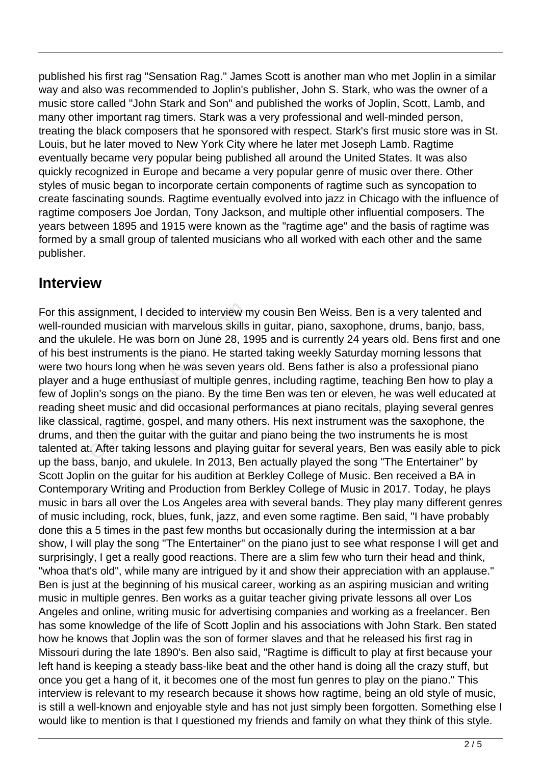published his first rag "Sensation Rag." James Scott is another man who met Joplin in a similar way and also was recommended to Joplin's publisher, John S. Stark, who was the owner of a music store called "John Stark and Son" and published the works of Joplin, Scott, Lamb, and many other important rag timers. Stark was a very professional and well-minded person, treating the black composers that he sponsored with respect. Stark's first music store was in St. Louis, but he later moved to New York City where he later met Joseph Lamb. Ragtime eventually became very popular being published all around the United States. It was also quickly recognized in Europe and became a very popular genre of music over there. Other styles of music began to incorporate certain components of ragtime such as syncopation to create fascinating sounds. Ragtime eventually evolved into jazz in Chicago with the influence of ragtime composers Joe Jordan, Tony Jackson, and multiple other influential composers. The years between 1895 and 1915 were known as the "ragtime age" and the basis of ragtime was formed by a small group of talented musicians who all worked with each other and the same publisher.

#### **Interview**

For this assignment, I decided to interview my cousin Ben Weiss. Ben is a very talented and well-rounded musician with marvelous skills in guitar, piano, saxophone, drums, banjo, bass, and the ukulele. He was born on June 28, 1995 and is currently 24 years old. Bens first and one of his best instruments is the piano. He started taking weekly Saturday morning lessons that were two hours long when he was seven years old. Bens father is also a professional piano player and a huge enthusiast of multiple genres, including ragtime, teaching Ben how to play a few of Joplin's songs on the piano. By the time Ben was ten or eleven, he was well educated at reading sheet music and did occasional performances at piano recitals, playing several genres like classical, ragtime, gospel, and many others. His next instrument was the saxophone, the drums, and then the guitar with the guitar and piano being the two instruments he is most talented at. After taking lessons and playing guitar for several years, Ben was easily able to pick up the bass, banjo, and ukulele. In 2013, Ben actually played the song "The Entertainer" by Scott Joplin on the guitar for his audition at Berkley College of Music. Ben received a BA in Contemporary Writing and Production from Berkley College of Music in 2017. Today, he plays music in bars all over the Los Angeles area with several bands. They play many different genres of music including, rock, blues, funk, jazz, and even some ragtime. Ben said, "I have probably done this a 5 times in the past few months but occasionally during the intermission at a bar show, I will play the song "The Entertainer" on the piano just to see what response I will get and surprisingly, I get a really good reactions. There are a slim few who turn their head and think, "whoa that's old", while many are intrigued by it and show their appreciation with an applause." Ben is just at the beginning of his musical career, working as an aspiring musician and writing music in multiple genres. Ben works as a guitar teacher giving private lessons all over Los Angeles and online, writing music for advertising companies and working as a freelancer. Ben has some knowledge of the life of Scott Joplin and his associations with John Stark. Ben stated how he knows that Joplin was the son of former slaves and that he released his first rag in Missouri during the late 1890's. Ben also said, "Ragtime is difficult to play at first because your left hand is keeping a steady bass-like beat and the other hand is doing all the crazy stuff, but once you get a hang of it, it becomes one of the most fun genres to play on the piano." This interview is relevant to my research because it shows how ragtime, being an old style of music, is still a well-known and enjoyable style and has not just simply been forgotten. Something else I would like to mention is that I questioned my friends and family on what they think of this style. signment, I decided to interview m<br>ed musician with marvelous skills<br>ulele. He was born on June 28, 19<br>instruments is the piano. He start<br>nours long when he was seven yea<br>a huge enthusiast of multiple gen<br>lin's songs on th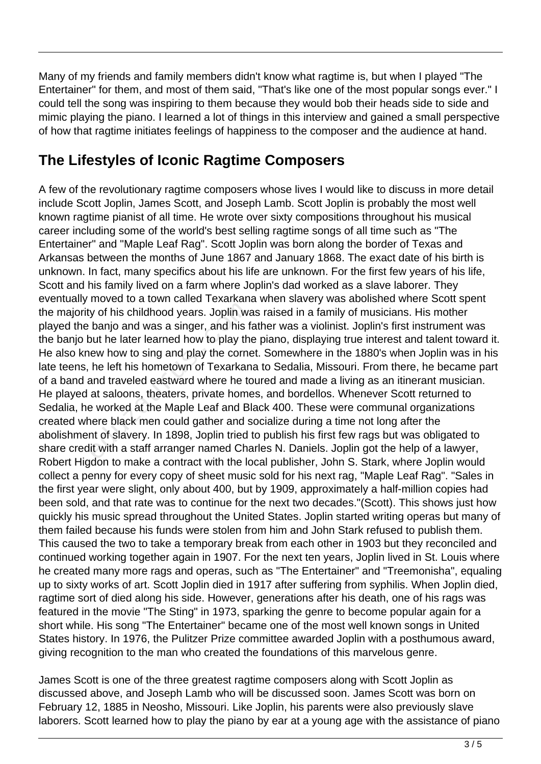Many of my friends and family members didn't know what ragtime is, but when I played "The Entertainer" for them, and most of them said, "That's like one of the most popular songs ever." I could tell the song was inspiring to them because they would bob their heads side to side and mimic playing the piano. I learned a lot of things in this interview and gained a small perspective of how that ragtime initiates feelings of happiness to the composer and the audience at hand.

## **The Lifestyles of Iconic Ragtime Composers**

A few of the revolutionary ragtime composers whose lives I would like to discuss in more detail include Scott Joplin, James Scott, and Joseph Lamb. Scott Joplin is probably the most well known ragtime pianist of all time. He wrote over sixty compositions throughout his musical career including some of the world's best selling ragtime songs of all time such as "The Entertainer" and "Maple Leaf Rag". Scott Joplin was born along the border of Texas and Arkansas between the months of June 1867 and January 1868. The exact date of his birth is unknown. In fact, many specifics about his life are unknown. For the first few years of his life, Scott and his family lived on a farm where Joplin's dad worked as a slave laborer. They eventually moved to a town called Texarkana when slavery was abolished where Scott spent the majority of his childhood years. Joplin was raised in a family of musicians. His mother played the banjo and was a singer, and his father was a violinist. Joplin's first instrument was the banjo but he later learned how to play the piano, displaying true interest and talent toward it. He also knew how to sing and play the cornet. Somewhere in the 1880's when Joplin was in his late teens, he left his hometown of Texarkana to Sedalia, Missouri. From there, he became part of a band and traveled eastward where he toured and made a living as an itinerant musician. He played at saloons, theaters, private homes, and bordellos. Whenever Scott returned to Sedalia, he worked at the Maple Leaf and Black 400. These were communal organizations created where black men could gather and socialize during a time not long after the abolishment of slavery. In 1898, Joplin tried to publish his first few rags but was obligated to share credit with a staff arranger named Charles N. Daniels. Joplin got the help of a lawyer, Robert Higdon to make a contract with the local publisher, John S. Stark, where Joplin would collect a penny for every copy of sheet music sold for his next rag, "Maple Leaf Rag". "Sales in the first year were slight, only about 400, but by 1909, approximately a half-million copies had been sold, and that rate was to continue for the next two decades."(Scott). This shows just how quickly his music spread throughout the United States. Joplin started writing operas but many of them failed because his funds were stolen from him and John Stark refused to publish them. This caused the two to take a temporary break from each other in 1903 but they reconciled and continued working together again in 1907. For the next ten years, Joplin lived in St. Louis where he created many more rags and operas, such as "The Entertainer" and "Treemonisha", equaling up to sixty works of art. Scott Joplin died in 1917 after suffering from syphilis. When Joplin died, ragtime sort of died along his side. However, generations after his death, one of his rags was featured in the movie "The Sting" in 1973, sparking the genre to become popular again for a short while. His song "The Entertainer" became one of the most well known songs in United States history. In 1976, the Pulitzer Prize committee awarded Joplin with a posthumous award, giving recognition to the man who created the foundations of this marvelous genre. y of his childhood years. Joplin wa<br>banjo and was a singer, and his f<br>but he later learned how to play th<br>lew how to sing and play the corne<br>he left his hometown of Texarkan<br>and traveled eastward where he to<br>at saloons, th

James Scott is one of the three greatest ragtime composers along with Scott Joplin as discussed above, and Joseph Lamb who will be discussed soon. James Scott was born on February 12, 1885 in Neosho, Missouri. Like Joplin, his parents were also previously slave laborers. Scott learned how to play the piano by ear at a young age with the assistance of piano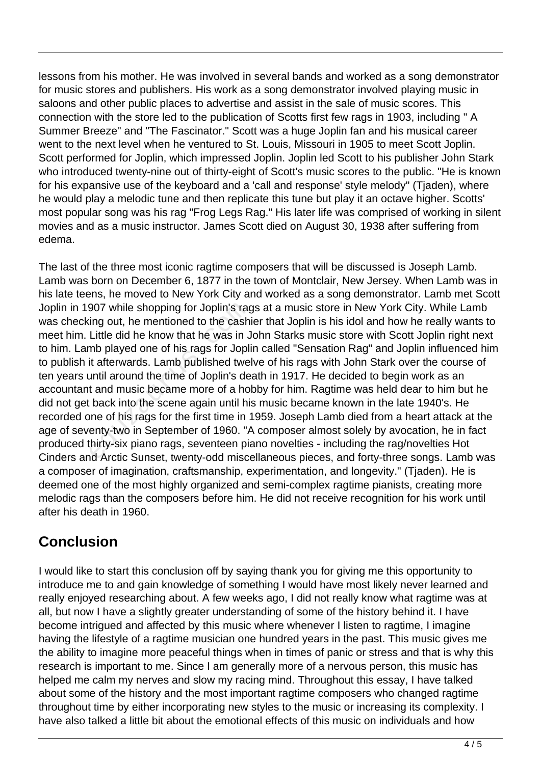lessons from his mother. He was involved in several bands and worked as a song demonstrator for music stores and publishers. His work as a song demonstrator involved playing music in saloons and other public places to advertise and assist in the sale of music scores. This connection with the store led to the publication of Scotts first few rags in 1903, including " A Summer Breeze" and "The Fascinator." Scott was a huge Joplin fan and his musical career went to the next level when he ventured to St. Louis, Missouri in 1905 to meet Scott Joplin. Scott performed for Joplin, which impressed Joplin. Joplin led Scott to his publisher John Stark who introduced twenty-nine out of thirty-eight of Scott's music scores to the public. "He is known for his expansive use of the keyboard and a 'call and response' style melody" (Tjaden), where he would play a melodic tune and then replicate this tune but play it an octave higher. Scotts' most popular song was his rag "Frog Legs Rag." His later life was comprised of working in silent movies and as a music instructor. James Scott died on August 30, 1938 after suffering from edema.

The last of the three most iconic ragtime composers that will be discussed is Joseph Lamb. Lamb was born on December 6, 1877 in the town of Montclair, New Jersey. When Lamb was in his late teens, he moved to New York City and worked as a song demonstrator. Lamb met Scott Joplin in 1907 while shopping for Joplin's rags at a music store in New York City. While Lamb was checking out, he mentioned to the cashier that Joplin is his idol and how he really wants to meet him. Little did he know that he was in John Starks music store with Scott Joplin right next to him. Lamb played one of his rags for Joplin called "Sensation Rag" and Joplin influenced him to publish it afterwards. Lamb published twelve of his rags with John Stark over the course of ten years until around the time of Joplin's death in 1917. He decided to begin work as an accountant and music became more of a hobby for him. Ragtime was held dear to him but he did not get back into the scene again until his music became known in the late 1940's. He recorded one of his rags for the first time in 1959. Joseph Lamb died from a heart attack at the age of seventy-two in September of 1960. "A composer almost solely by avocation, he in fact produced thirty-six piano rags, seventeen piano novelties - including the rag/novelties Hot Cinders and Arctic Sunset, twenty-odd miscellaneous pieces, and forty-three songs. Lamb was a composer of imagination, craftsmanship, experimentation, and longevity." (Tjaden). He is deemed one of the most highly organized and semi-complex ragtime pianists, creating more melodic rags than the composers before him. He did not receive recognition for his work until after his death in 1960. 907 while shopping for Joplin's raging out, he mentioned to the cash<br>Little did he know that he was in J<br>mb played one of his rags for Jopli<br>it afterwards. Lamb published twe<br>until around the time of Joplin's de<br>t and musi

## **Conclusion**

I would like to start this conclusion off by saying thank you for giving me this opportunity to introduce me to and gain knowledge of something I would have most likely never learned and really enjoyed researching about. A few weeks ago, I did not really know what ragtime was at all, but now I have a slightly greater understanding of some of the history behind it. I have become intrigued and affected by this music where whenever I listen to ragtime, I imagine having the lifestyle of a ragtime musician one hundred years in the past. This music gives me the ability to imagine more peaceful things when in times of panic or stress and that is why this research is important to me. Since I am generally more of a nervous person, this music has helped me calm my nerves and slow my racing mind. Throughout this essay, I have talked about some of the history and the most important ragtime composers who changed ragtime throughout time by either incorporating new styles to the music or increasing its complexity. I have also talked a little bit about the emotional effects of this music on individuals and how